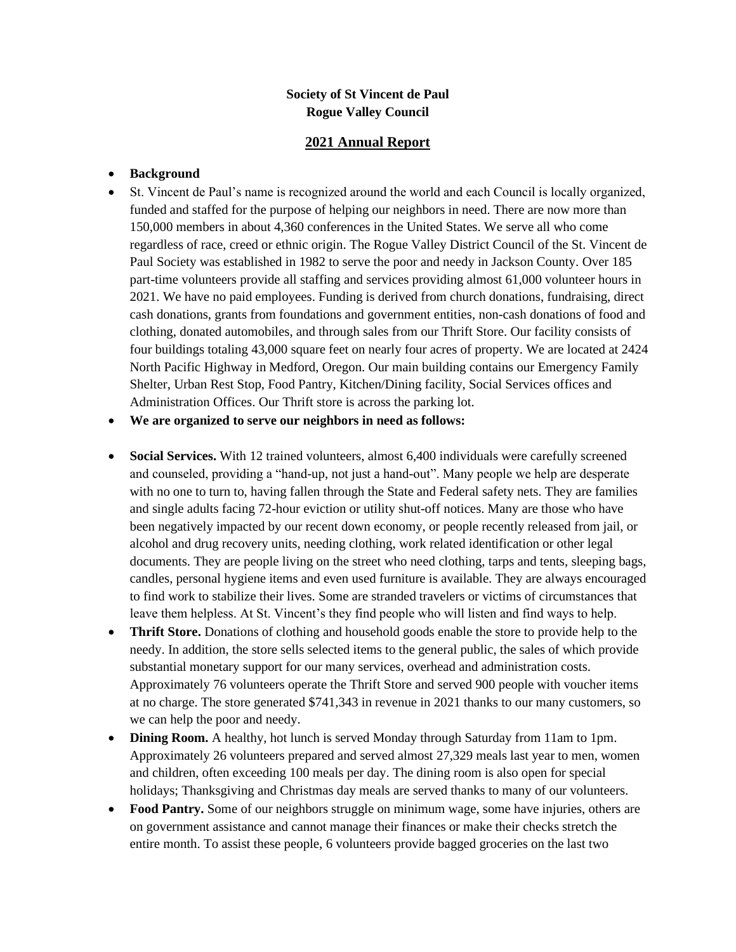## **Society of St Vincent de Paul Rogue Valley Council**

## **2021 Annual Report**

## • **Background**

• St. Vincent de Paul's name is recognized around the world and each Council is locally organized, funded and staffed for the purpose of helping our neighbors in need. There are now more than 150,000 members in about 4,360 conferences in the United States. We serve all who come regardless of race, creed or ethnic origin. The Rogue Valley District Council of the St. Vincent de Paul Society was established in 1982 to serve the poor and needy in Jackson County. Over 185 part-time volunteers provide all staffing and services providing almost 61,000 volunteer hours in 2021. We have no paid employees. Funding is derived from church donations, fundraising, direct cash donations, grants from foundations and government entities, non-cash donations of food and clothing, donated automobiles, and through sales from our Thrift Store. Our facility consists of four buildings totaling 43,000 square feet on nearly four acres of property. We are located at 2424 North Pacific Highway in Medford, Oregon. Our main building contains our Emergency Family Shelter, Urban Rest Stop, Food Pantry, Kitchen/Dining facility, Social Services offices and Administration Offices. Our Thrift store is across the parking lot.

• **We are organized to serve our neighbors in need as follows:**

- **Social Services.** With 12 trained volunteers, almost 6,400 individuals were carefully screened and counseled, providing a "hand-up, not just a hand-out". Many people we help are desperate with no one to turn to, having fallen through the State and Federal safety nets. They are families and single adults facing 72-hour eviction or utility shut-off notices. Many are those who have been negatively impacted by our recent down economy, or people recently released from jail, or alcohol and drug recovery units, needing clothing, work related identification or other legal documents. They are people living on the street who need clothing, tarps and tents, sleeping bags, candles, personal hygiene items and even used furniture is available. They are always encouraged to find work to stabilize their lives. Some are stranded travelers or victims of circumstances that leave them helpless. At St. Vincent's they find people who will listen and find ways to help.
- **Thrift Store.** Donations of clothing and household goods enable the store to provide help to the needy. In addition, the store sells selected items to the general public, the sales of which provide substantial monetary support for our many services, overhead and administration costs. Approximately 76 volunteers operate the Thrift Store and served 900 people with voucher items at no charge. The store generated \$741,343 in revenue in 2021 thanks to our many customers, so we can help the poor and needy.
- **Dining Room.** A healthy, hot lunch is served Monday through Saturday from 11am to 1pm. Approximately 26 volunteers prepared and served almost 27,329 meals last year to men, women and children, often exceeding 100 meals per day. The dining room is also open for special holidays; Thanksgiving and Christmas day meals are served thanks to many of our volunteers.
- **Food Pantry.** Some of our neighbors struggle on minimum wage, some have injuries, others are on government assistance and cannot manage their finances or make their checks stretch the entire month. To assist these people, 6 volunteers provide bagged groceries on the last two